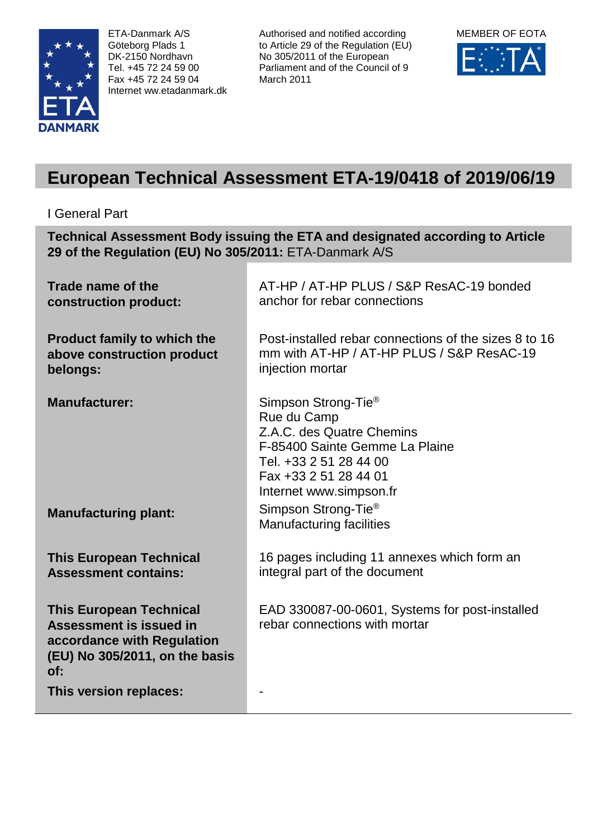

ETA-Danmark A/S Göteborg Plads 1 DK-2150 Nordhavn Tel. +45 72 24 59 00 Fax +45 72 24 59 04 Internet ww.etadanmark.dk Authorised and notified according to Article 29 of the Regulation (EU) No 305/2011 of the European Parliament and of the Council of 9 March 2011



# **European Technical Assessment ETA-19/0418 of 2019/06/19**

# I General Part

**Technical Assessment Body issuing the ETA and designated according to Article 29 of the Regulation (EU) No 305/2011:** ETA-Danmark A/S

| Trade name of the<br>construction product:                                                                                       | AT-HP / AT-HP PLUS / S&P ResAC-19 bonded<br>anchor for rebar connections                                                                                                                    |
|----------------------------------------------------------------------------------------------------------------------------------|---------------------------------------------------------------------------------------------------------------------------------------------------------------------------------------------|
| <b>Product family to which the</b><br>above construction product<br>belongs:                                                     | Post-installed rebar connections of the sizes 8 to 16<br>mm with AT-HP / AT-HP PLUS / S&P ResAC-19<br>injection mortar                                                                      |
| <b>Manufacturer:</b>                                                                                                             | Simpson Strong-Tie <sup>®</sup><br>Rue du Camp<br>Z.A.C. des Quatre Chemins<br>F-85400 Sainte Gemme La Plaine<br>Tel. +33 2 51 28 44 00<br>Fax +33 2 51 28 44 01<br>Internet www.simpson.fr |
| <b>Manufacturing plant:</b>                                                                                                      | Simpson Strong-Tie <sup>®</sup><br><b>Manufacturing facilities</b>                                                                                                                          |
| <b>This European Technical</b><br><b>Assessment contains:</b>                                                                    | 16 pages including 11 annexes which form an<br>integral part of the document                                                                                                                |
| <b>This European Technical</b><br>Assessment is issued in<br>accordance with Regulation<br>(EU) No 305/2011, on the basis<br>of: | EAD 330087-00-0601, Systems for post-installed<br>rebar connections with mortar                                                                                                             |
| This version replaces:                                                                                                           |                                                                                                                                                                                             |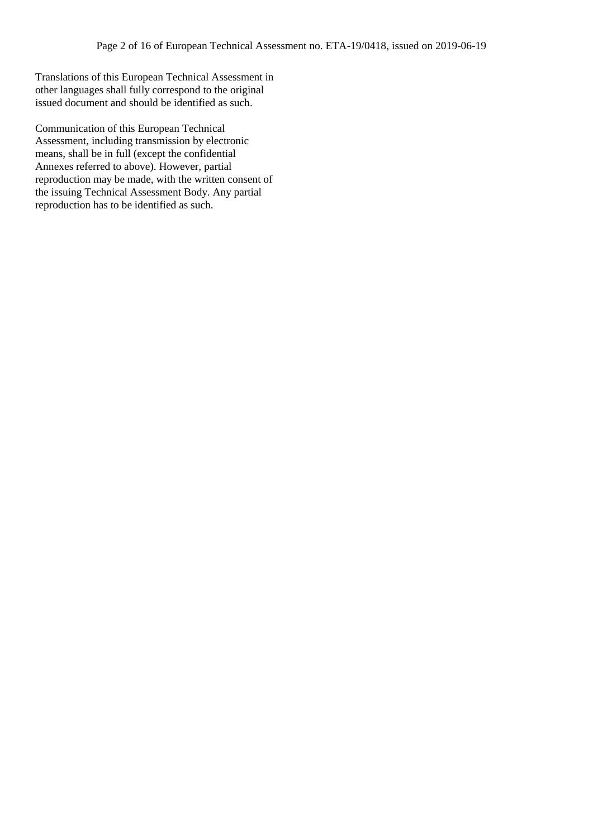Translations of this European Technical Assessment in other languages shall fully correspond to the original issued document and should be identified as such.

Communication of this European Technical Assessment, including transmission by electronic means, shall be in full (except the confidential Annexes referred to above). However, partial reproduction may be made, with the written consent of the issuing Technical Assessment Body. Any partial reproduction has to be identified as such.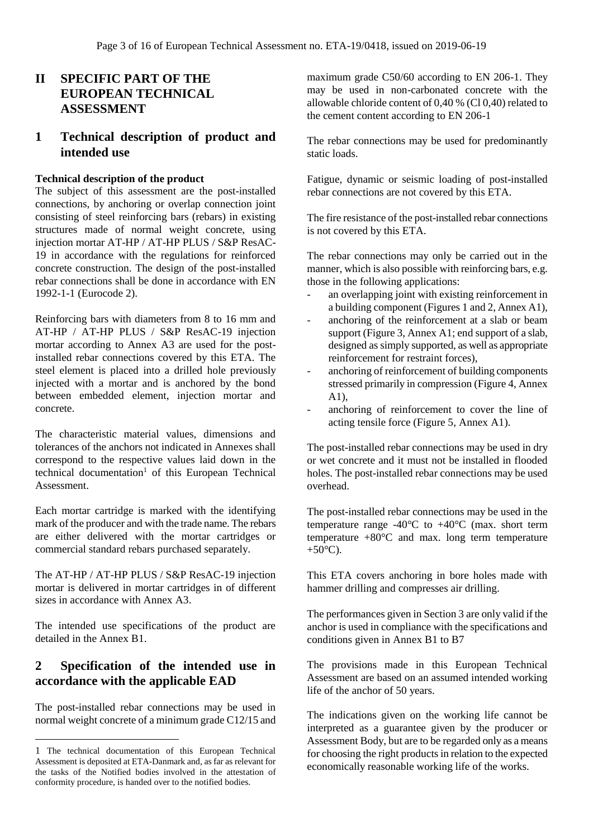# **II SPECIFIC PART OF THE EUROPEAN TECHNICAL ASSESSMENT**

## **1 Technical description of product and intended use**

#### **Technical description of the product**

The subject of this assessment are the post-installed connections, by anchoring or overlap connection joint consisting of steel reinforcing bars (rebars) in existing structures made of normal weight concrete, using injection mortar AT-HP / AT-HP PLUS / S&P ResAC-19 in accordance with the regulations for reinforced concrete construction. The design of the post-installed rebar connections shall be done in accordance with EN 1992-1-1 (Eurocode 2).

Reinforcing bars with diameters from 8 to 16 mm and AT-HP / AT-HP PLUS / S&P ResAC-19 injection mortar according to Annex A3 are used for the postinstalled rebar connections covered by this ETA. The steel element is placed into a drilled hole previously injected with a mortar and is anchored by the bond between embedded element, injection mortar and concrete.

The characteristic material values, dimensions and tolerances of the anchors not indicated in Annexes shall correspond to the respective values laid down in the technical documentation<sup>1</sup> of this European Technical Assessment.

Each mortar cartridge is marked with the identifying mark of the producer and with the trade name. The rebars are either delivered with the mortar cartridges or commercial standard rebars purchased separately.

The AT-HP / AT-HP PLUS / S&P ResAC-19 injection mortar is delivered in mortar cartridges in of different sizes in accordance with Annex A3.

The intended use specifications of the product are detailed in the Annex B1.

# **2 Specification of the intended use in accordance with the applicable EAD**

The post-installed rebar connections may be used in normal weight concrete of a minimum grade C12/15 and

 $\overline{a}$ 

maximum grade C50/60 according to EN 206-1. They may be used in non-carbonated concrete with the allowable chloride content of 0,40 % (Cl 0,40) related to the cement content according to EN 206-1

The rebar connections may be used for predominantly static loads.

Fatigue, dynamic or seismic loading of post-installed rebar connections are not covered by this ETA.

The fire resistance of the post-installed rebar connections is not covered by this ETA.

The rebar connections may only be carried out in the manner, which is also possible with reinforcing bars, e.g. those in the following applications:

- an overlapping joint with existing reinforcement in a building component (Figures 1 and 2, Annex A1),
- anchoring of the reinforcement at a slab or beam support (Figure 3, Annex A1; end support of a slab, designed as simply supported, as well as appropriate reinforcement for restraint forces),
- anchoring of reinforcement of building components stressed primarily in compression (Figure 4, Annex A1),
- anchoring of reinforcement to cover the line of acting tensile force (Figure 5, Annex A1).

The post-installed rebar connections may be used in dry or wet concrete and it must not be installed in flooded holes. The post-installed rebar connections may be used overhead.

The post-installed rebar connections may be used in the temperature range -40 $^{\circ}$ C to +40 $^{\circ}$ C (max. short term temperature  $+80^{\circ}$ C and max. long term temperature  $+50^{\circ}$ C).

This ETA covers anchoring in bore holes made with hammer drilling and compresses air drilling.

The performances given in Section 3 are only valid if the anchor is used in compliance with the specifications and conditions given in Annex B1 to B7

The provisions made in this European Technical Assessment are based on an assumed intended working life of the anchor of 50 years.

The indications given on the working life cannot be interpreted as a guarantee given by the producer or Assessment Body, but are to be regarded only as a means for choosing the right products in relation to the expected economically reasonable working life of the works.

<sup>1</sup> The technical documentation of this European Technical Assessment is deposited at ETA-Danmark and, as far as relevant for the tasks of the Notified bodies involved in the attestation of conformity procedure, is handed over to the notified bodies.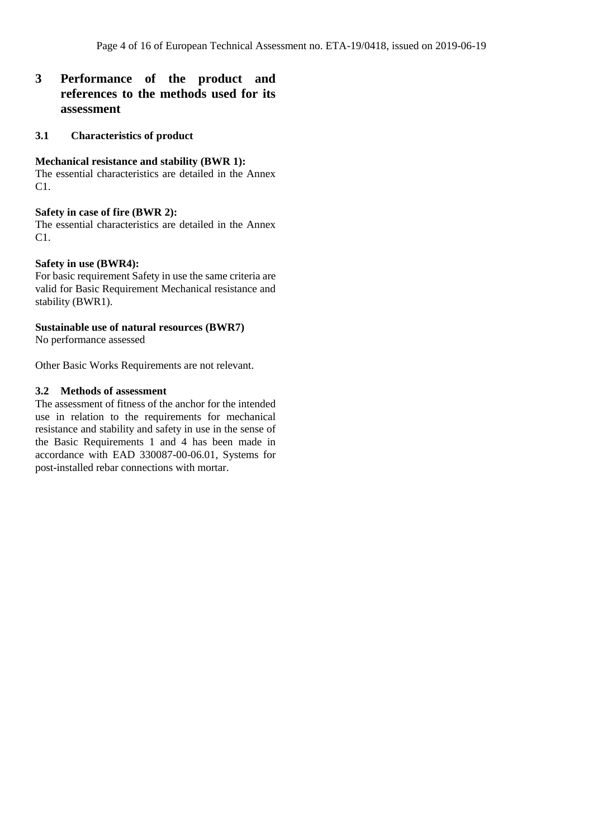# **3 Performance of the product and references to the methods used for its assessment**

#### **3.1 Characteristics of product**

#### **Mechanical resistance and stability (BWR 1):**

The essential characteristics are detailed in the Annex C1.

#### **Safety in case of fire (BWR 2):**

The essential characteristics are detailed in the Annex C1.

#### **Safety in use (BWR4):**

For basic requirement Safety in use the same criteria are valid for Basic Requirement Mechanical resistance and stability (BWR1).

#### **Sustainable use of natural resources (BWR7)**

No performance assessed

Other Basic Works Requirements are not relevant.

#### **3.2 Methods of assessment**

The assessment of fitness of the anchor for the intended use in relation to the requirements for mechanical resistance and stability and safety in use in the sense of the Basic Requirements 1 and 4 has been made in accordance with EAD 330087-00-06.01, Systems for post-installed rebar connections with mortar.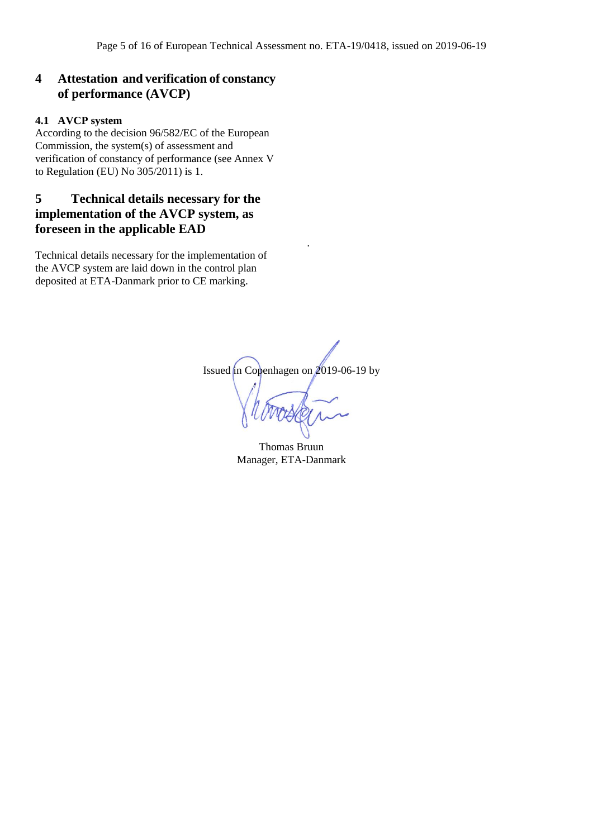# **4 Attestation and verification of constancy of performance (AVCP)**

#### **4.1 AVCP system**

According to the decision 96/582/EC of the European Commission, the system(s) of assessment and verification of constancy of performance (see Annex V to Regulation (EU) No 305/2011) is 1.

# **5 Technical details necessary for the implementation of the AVCP system, as foreseen in the applicable EAD**

Technical details necessary for the implementation of the AVCP system are laid down in the control plan deposited at ETA-Danmark prior to CE marking.

Issued in Copenhagen on 2019-06-19 by

.

Thomas Bruun Manager, ETA-Danmark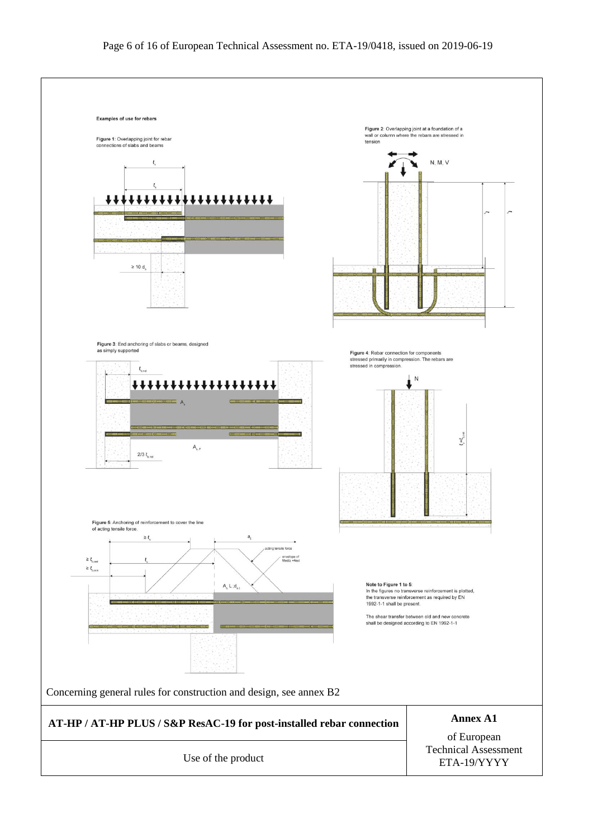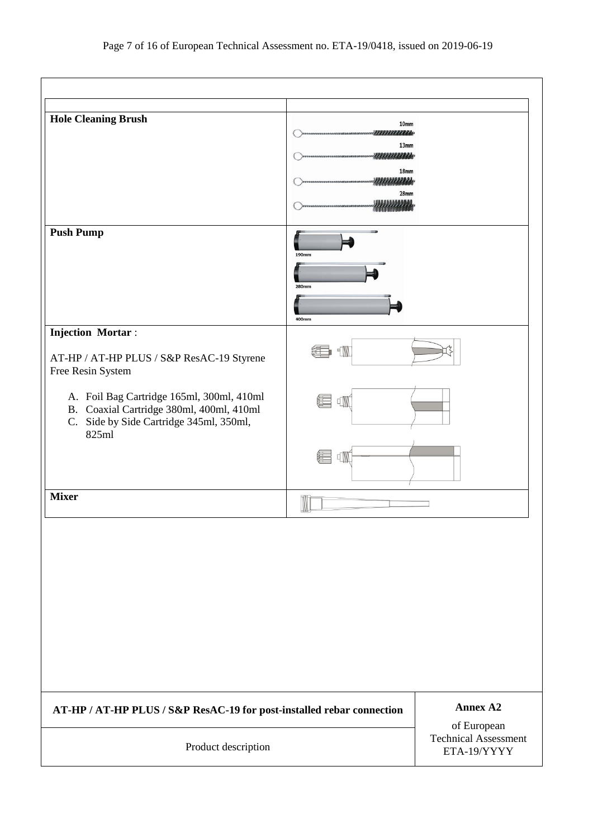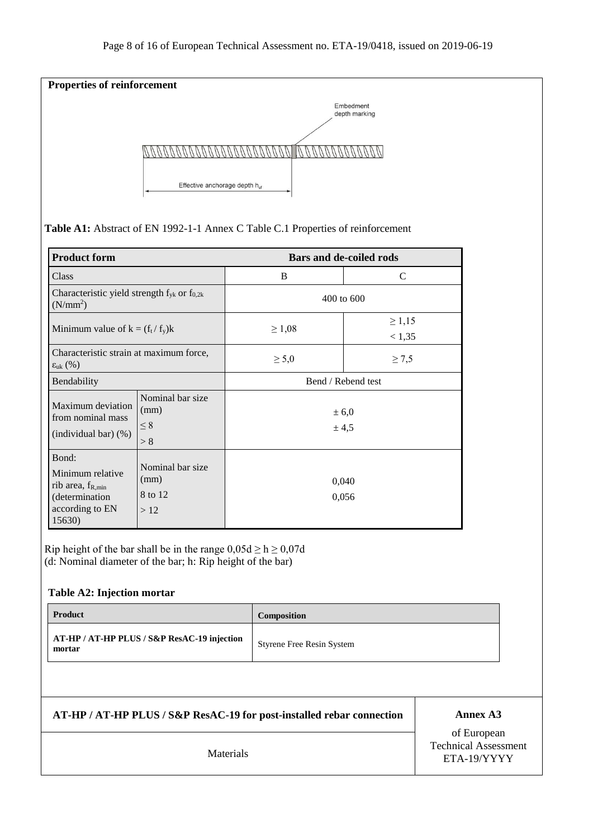

**Table A1:** Abstract of EN 1992-1-1 Annex C Table C.1 Properties of reinforcement

| <b>Product form</b>                                                                                           |                                            | <b>Bars and de-coiled rods</b> |                       |  |
|---------------------------------------------------------------------------------------------------------------|--------------------------------------------|--------------------------------|-----------------------|--|
| <b>Class</b>                                                                                                  |                                            | B                              | C                     |  |
| Characteristic yield strength $f_{yk}$ or $f_{0,2k}$<br>(N/mm <sup>2</sup> )                                  |                                            | 400 to 600                     |                       |  |
| Minimum value of $k = (f_t / f_y)k$                                                                           |                                            | $\geq 1,08$                    | $\geq 1,15$<br>< 1,35 |  |
| Characteristic strain at maximum force,<br>$\varepsilon_{\rm uk}$ (%)                                         |                                            | $\geq 5.0$                     | $\geq 7.5$            |  |
| Bendability                                                                                                   |                                            | Bend / Rebend test             |                       |  |
| Nominal bar size<br>Maximum deviation<br>(mm)<br>from nominal mass<br>$\leq 8$<br>(individual bar) (%)<br>> 8 |                                            | ± 6,0<br>± 4,5                 |                       |  |
| Bond:<br>Minimum relative<br>rib area, $f_{R,min}$<br>(determination<br>according to EN<br>15630)             | Nominal bar size<br>(mm)<br>8 to 12<br>>12 | 0,040<br>0,056                 |                       |  |

Rip height of the bar shall be in the range  $0,05d \ge h \ge 0,07d$ (d: Nominal diameter of the bar; h: Rip height of the bar)

#### **Table A2: Injection mortar**

| <b>Product</b>                                        | <b>Composition</b>               |
|-------------------------------------------------------|----------------------------------|
| AT-HP / AT-HP PLUS / S&P ResAC-19 injection<br>mortar | <b>Styrene Free Resin System</b> |

**AT-HP / AT-HP PLUS / S&P ResAC-19 for post-installed rebar connection** Annex A3

of European Technical Assessment Materials **ETA-19/YYYY**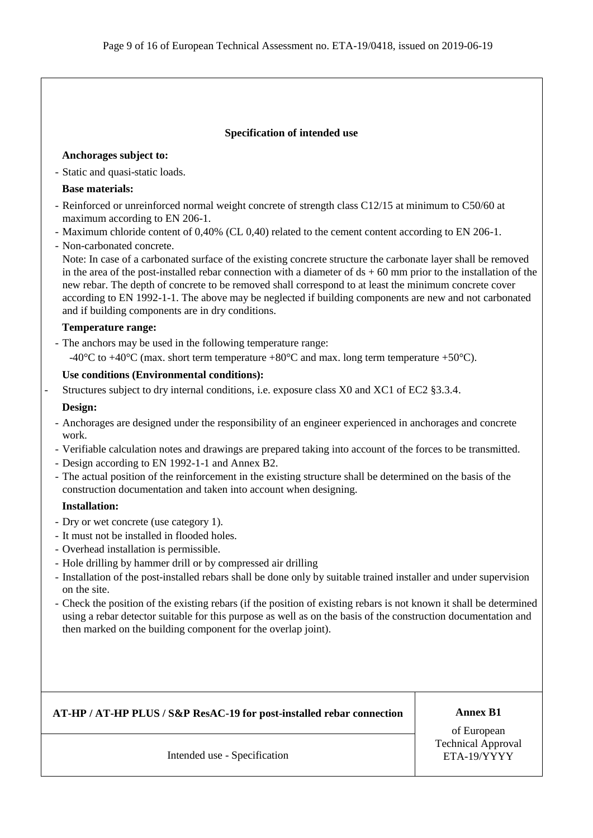#### **Specification of intended use**

#### **Anchorages subject to:**

- Static and quasi-static loads.

#### **Base materials:**

- Reinforced or unreinforced normal weight concrete of strength class C12/15 at minimum to C50/60 at maximum according to EN 206-1.
- Maximum chloride content of 0,40% (CL 0,40) related to the cement content according to EN 206-1.
- Non-carbonated concrete.

Note: In case of a carbonated surface of the existing concrete structure the carbonate layer shall be removed in the area of the post-installed rebar connection with a diameter of  $ds + 60$  mm prior to the installation of the new rebar. The depth of concrete to be removed shall correspond to at least the minimum concrete cover according to EN 1992-1-1. The above may be neglected if building components are new and not carbonated and if building components are in dry conditions.

#### **Temperature range:**

- The anchors may be used in the following temperature range: -40 $^{\circ}$ C to +40 $^{\circ}$ C (max. short term temperature +80 $^{\circ}$ C and max. long term temperature +50 $^{\circ}$ C).

#### **Use conditions (Environmental conditions):**

Structures subject to dry internal conditions, i.e. exposure class X0 and XC1 of EC2 §3.3.4.

#### **Design:**

- Anchorages are designed under the responsibility of an engineer experienced in anchorages and concrete work.
- Verifiable calculation notes and drawings are prepared taking into account of the forces to be transmitted.
- Design according to EN 1992-1-1 and Annex B2.
- The actual position of the reinforcement in the existing structure shall be determined on the basis of the construction documentation and taken into account when designing.

### **Installation:**

- Dry or wet concrete (use category 1).
- It must not be installed in flooded holes.
- Overhead installation is permissible.
- Hole drilling by hammer drill or by compressed air drilling
- Installation of the post-installed rebars shall be done only by suitable trained installer and under supervision on the site.
- Check the position of the existing rebars (if the position of existing rebars is not known it shall be determined using a rebar detector suitable for this purpose as well as on the basis of the construction documentation and then marked on the building component for the overlap joint).

**AT-HP / AT-HP PLUS / S&P ResAC-19 for post-installed rebar connection Annex B1** 

of European Technical Approval

Intended use - Specification ETA-19/YYYY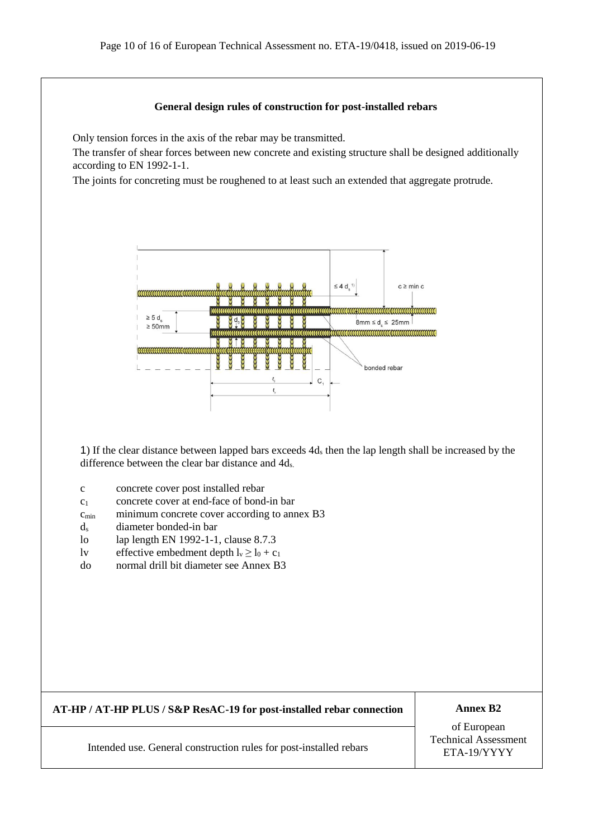#### **General design rules of construction for post-installed rebars**

Only tension forces in the axis of the rebar may be transmitted.

The transfer of shear forces between new concrete and existing structure shall be designed additionally according to EN 1992-1-1.

The joints for concreting must be roughened to at least such an extended that aggregate protrude.



1) If the clear distance between lapped bars exceeds 4d<sup>s</sup> then the lap length shall be increased by the difference between the clear bar distance and 4ds.

- c concrete cover post installed rebar
- $c_1$  concrete cover at end-face of bond-in bar
- $c_{\text{min}}$  minimum concrete cover according to annex B3
- d<sup>s</sup> diameter bonded-in bar
- lo lap length EN 1992-1-1, clause 8.7.3
- lv effective embedment depth  $l_v \ge l_0 + c_1$
- do normal drill bit diameter see Annex B3

### **AT-HP / AT-HP PLUS / S&P ResAC-19 for post-installed rebar connection Annex B2**

of European Technical Assessment

Intended use. General construction rules for post-installed rebars FETA-19/YYYY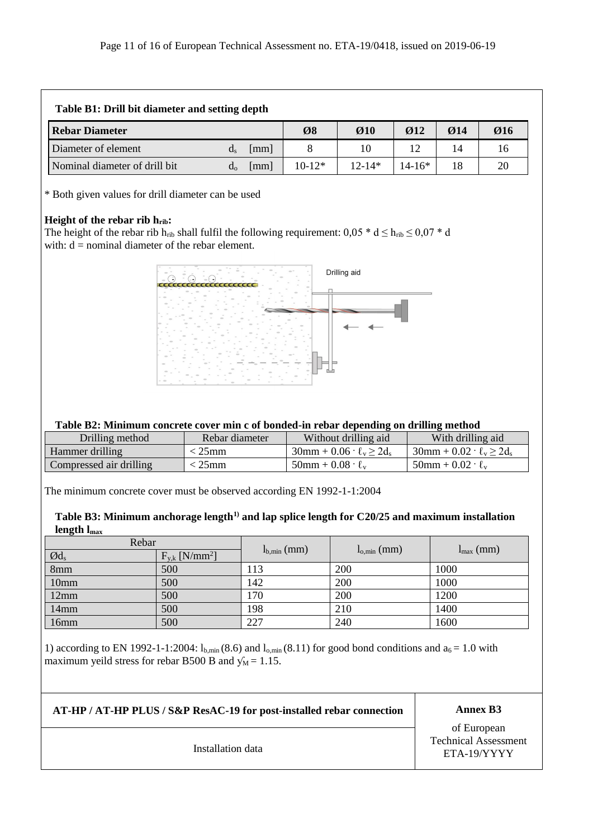| Table B1: Drill bit diameter and setting depth |       |                      |          |                               |                  |                          |     |  |
|------------------------------------------------|-------|----------------------|----------|-------------------------------|------------------|--------------------------|-----|--|
| <b>Rebar Diameter</b>                          |       |                      | Ø8       | $\boldsymbol{\varnothing}$ 10 | $\varnothing$ 12 | $\boldsymbol{\omega}$ 14 | Ø16 |  |
| Diameter of element                            | d     | [mm]                 |          | 10                            | 12               | 14                       | 16  |  |
| Nominal diameter of drill bit                  | $d_0$ | $\lceil$ mm $\rceil$ | $10-12*$ | $12 - 14*$                    | $14 - 16*$       |                          | 20  |  |

\* Both given values for drill diameter can be used

### **Height of the rebar rib hrib:**

The height of the rebar rib h<sub>rib</sub> shall fulfil the following requirement:  $0.05 * d \le h_{\text{rib}} \le 0.07 * d$ with:  $d =$  nominal diameter of the rebar element.



#### **Table B2: Minimum concrete cover min c of bonded-in rebar depending on drilling method**

| Drilling method         | Rebar diameter | Without drilling aid                     | With drilling aid                           |
|-------------------------|----------------|------------------------------------------|---------------------------------------------|
| Hammer drilling         | . 25mm         | $30$ mm + $0.06 \cdot \ell_{v} > 2d_{s}$ | $30$ mm + $0.02 \cdot \ell_{v} \geq 2d_{s}$ |
| Compressed air drilling | $25$ mm        | $50$ mm + $0.08 \cdot \ell_{v}$          | $50$ mm + $0.02 \cdot \ell_{v}$             |

The minimum concrete cover must be observed according EN 1992-1-1:2004

### **Table B3: Minimum anchorage length1) and lap splice length for C20/25 and maximum installation length lmax**

| Rebar               |                                |                 |                 |                       |  |
|---------------------|--------------------------------|-----------------|-----------------|-----------------------|--|
| $\textcircled{d}_s$ | $F_{y,k}$ [N/mm <sup>2</sup> ] | $l_{b,min}(mm)$ | $l_{o,min}(mm)$ | $l_{\text{max}}$ (mm) |  |
| 8mm                 | 500                            | 113             | 200             | 1000                  |  |
| 10 <sub>mm</sub>    | 500                            | 142             | 200             | 1000                  |  |
| 12mm                | 500                            | 170             | 200             | 1200                  |  |
| 14mm                | 500                            | 198             | 210             | 1400                  |  |
| 16mm                | 500                            | 227             | 240             | 1600                  |  |

1) according to EN 1992-1-1:2004:  $l_{b,min}$  (8.6) and  $l_{o,min}$  (8.11) for good bond conditions and  $a_6 = 1.0$  with maximum yeild stress for rebar B500 B and  $\sqrt{M} = 1.15$ .

**AT-HP / AT-HP PLUS / S&P ResAC-19 for post-installed rebar connection Annex B3**

of European Technical Assessment Installation data ETA-19/YYYY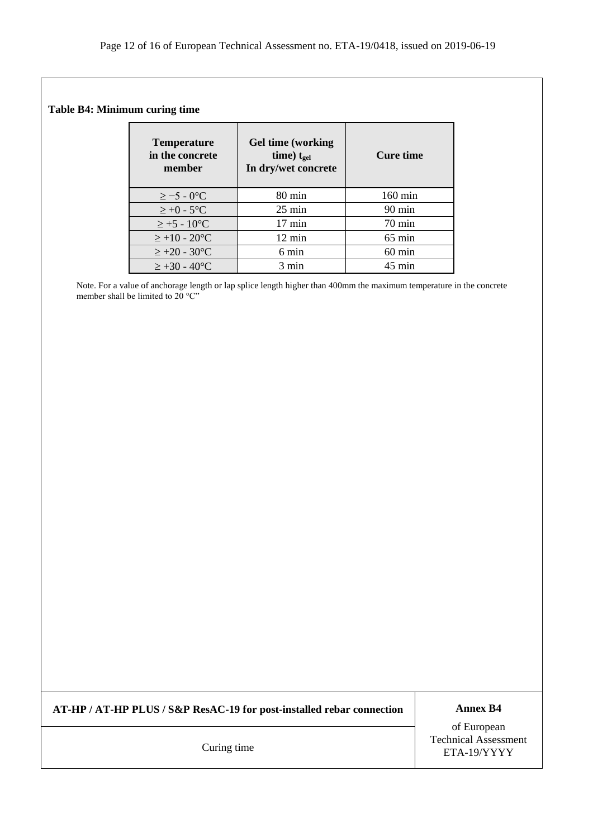#### **Table B4: Minimum curing time**

| <b>Temperature</b><br>in the concrete<br>member | <b>Gel time (working</b><br>time) $t_{gel}$<br>In dry/wet concrete | Cure time         |
|-------------------------------------------------|--------------------------------------------------------------------|-------------------|
| $\geq -5 - 0$ <sup>o</sup> C                    | $80 \text{ min}$                                                   | $160 \text{ min}$ |
| $\geq +0$ - 5°C                                 | $25 \text{ min}$                                                   | $90 \text{ min}$  |
| $\ge +5 - 10^{\circ}C$                          | $17 \text{ min}$                                                   | $70 \text{ min}$  |
| $\ge +10 - 20$ °C                               | $12 \text{ min}$                                                   | $65 \text{ min}$  |
| $\ge +20 - 30^{\circ}C$                         | 6 min                                                              | $60$ min          |
| $\ge +30 - 40^{\circ}C$                         | 3 min                                                              | $45 \text{ min}$  |

Note. For a value of anchorage length or lap splice length higher than 400mm the maximum temperature in the concrete member shall be limited to 20 °C"

**AT-HP / AT-HP PLUS / S&P ResAC-19 for post-installed rebar connection Annex B4**

of European Technical Assessment ETA-19/YYYY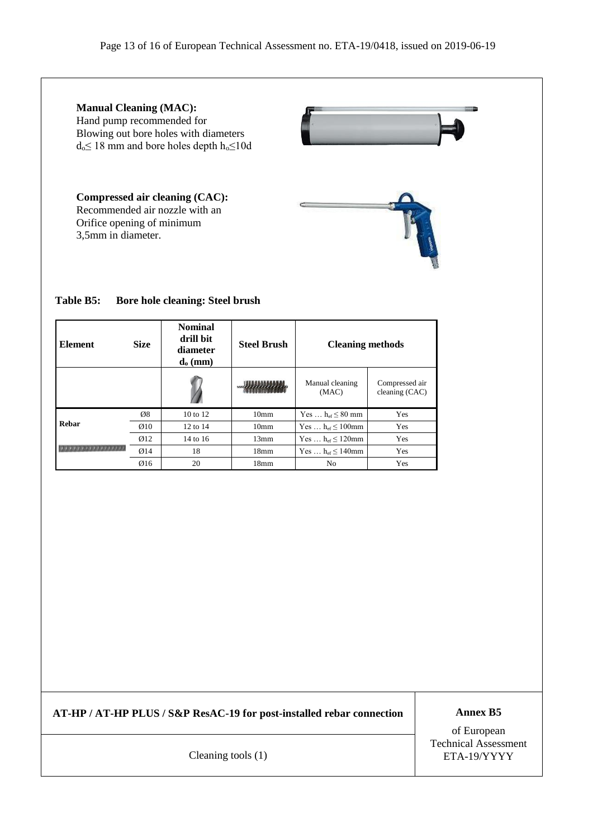

### **Table B5: Bore hole cleaning: Steel brush**

| <b>Element</b> | <b>Size</b>      | <b>Nominal</b><br>drill bit<br>diameter<br>$\mathbf{d}_{\mathbf{0}}\left(\mathbf{mm}\right)$ | <b>Steel Brush</b> | <b>Cleaning methods</b>         |                                  |
|----------------|------------------|----------------------------------------------------------------------------------------------|--------------------|---------------------------------|----------------------------------|
|                |                  |                                                                                              |                    | Manual cleaning<br>(MAC)        | Compressed air<br>cleaning (CAC) |
|                | Ø8               | 10 to 12                                                                                     | 10 <sub>mm</sub>   | Yes $h_{\text{ef}} \leq 80$ mm  | Yes                              |
| Rebar          | $\varnothing$ 10 | 12 to 14                                                                                     | 10 <sub>mm</sub>   | Yes $h_{\text{ef}} \leq 100$ mm | Yes                              |
|                | $\emptyset$ 12   | 14 to 16                                                                                     | 13mm               | Yes $h_{\text{ef}} \leq 120$ mm | Yes                              |
|                | Ø14              | 18                                                                                           | 18 <sub>mm</sub>   | Yes $h_{\text{ef}} \leq 140$ mm | Yes                              |
|                | Ø16              | 20                                                                                           | 18 <sub>mm</sub>   | No                              | Yes                              |

**AT-HP / AT-HP PLUS / S&P ResAC-19 for post-installed rebar connection Annex B5** 

of European Technical Assessment Cleaning tools (1) ETA-19/YYYY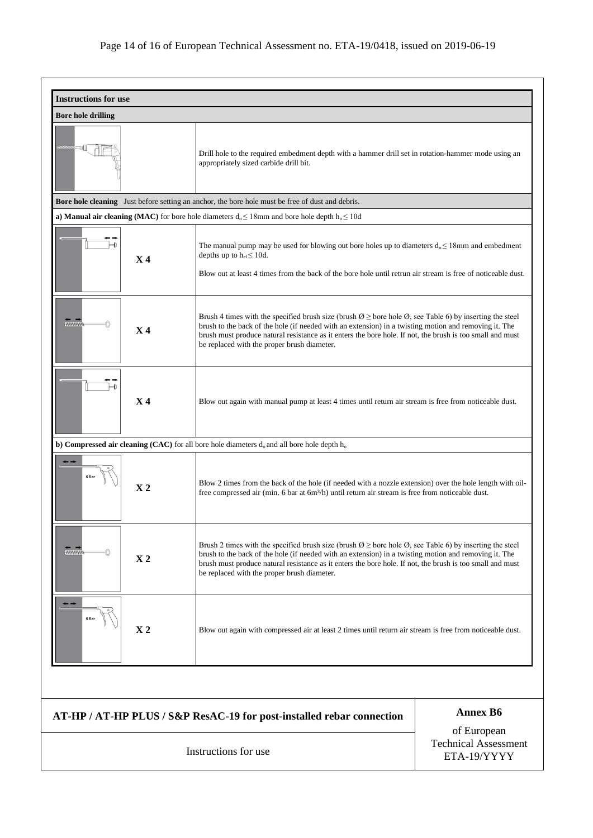| <b>Instructions for use</b>      |                                                                                                                                                                                                                                                                                                                                                                                                      |                                                           |
|----------------------------------|------------------------------------------------------------------------------------------------------------------------------------------------------------------------------------------------------------------------------------------------------------------------------------------------------------------------------------------------------------------------------------------------------|-----------------------------------------------------------|
| <b>Bore hole drilling</b>        |                                                                                                                                                                                                                                                                                                                                                                                                      |                                                           |
|                                  | Drill hole to the required embedment depth with a hammer drill set in rotation-hammer mode using an<br>appropriately sized carbide drill bit.                                                                                                                                                                                                                                                        |                                                           |
|                                  | <b>Bore hole cleaning</b> Just before setting an anchor, the bore hole must be free of dust and debris.                                                                                                                                                                                                                                                                                              |                                                           |
|                                  | a) Manual air cleaning (MAC) for bore hole diameters $d_0 \le 18$ mm and bore hole depth $h_0 \le 10d$                                                                                                                                                                                                                                                                                               |                                                           |
| $\rightarrow$<br>X <sub>4</sub>  | The manual pump may be used for blowing out bore holes up to diameters $d_0 \le 18$ mm and embedment<br>depths up to $h_{ef} \leq 10d$ .<br>Blow out at least 4 times from the back of the bore hole until retrun air stream is free of noticeable dust.                                                                                                                                             |                                                           |
| <b>HAMAANA</b><br>X <sub>4</sub> | Brush 4 times with the specified brush size (brush $\emptyset \geq$ bore hole $\emptyset$ , see Table 6) by inserting the steel<br>brush to the back of the hole (if needed with an extension) in a twisting motion and removing it. The<br>brush must produce natural resistance as it enters the bore hole. If not, the brush is too small and must<br>be replaced with the proper brush diameter. |                                                           |
| $\mapsto$<br>$\bf{X}$ 4          | Blow out again with manual pump at least 4 times until return air stream is free from noticeable dust.                                                                                                                                                                                                                                                                                               |                                                           |
|                                  | b) Compressed air cleaning (CAC) for all bore hole diameters $d_0$ and all bore hole depth $h_0$                                                                                                                                                                                                                                                                                                     |                                                           |
| 6 Bar<br>X <sub>2</sub>          | Blow 2 times from the back of the hole (if needed with a nozzle extension) over the hole length with oil-<br>free compressed air (min. 6 bar at 6m <sup>3</sup> /h) until return air stream is free from noticeable dust.                                                                                                                                                                            |                                                           |
| mmmm<br>X <sub>2</sub>           | Brush 2 times with the specified brush size (brush $\emptyset \geq$ bore hole $\emptyset$ , see Table 6) by inserting the steel<br>brush to the back of the hole (if needed with an extension) in a twisting motion and removing it. The<br>brush must produce natural resistance as it enters the bore hole. If not, the brush is too small and must<br>be replaced with the proper brush diameter. |                                                           |
| $\mathbf{X}$ 2                   | Blow out again with compressed air at least 2 times until return air stream is free from noticeable dust.                                                                                                                                                                                                                                                                                            |                                                           |
|                                  |                                                                                                                                                                                                                                                                                                                                                                                                      |                                                           |
|                                  | AT-HP / AT-HP PLUS / S&P ResAC-19 for post-installed rebar connection                                                                                                                                                                                                                                                                                                                                | <b>Annex B6</b>                                           |
|                                  | Instructions for use                                                                                                                                                                                                                                                                                                                                                                                 | of European<br><b>Technical Assessment</b><br>ETA-19/YYYY |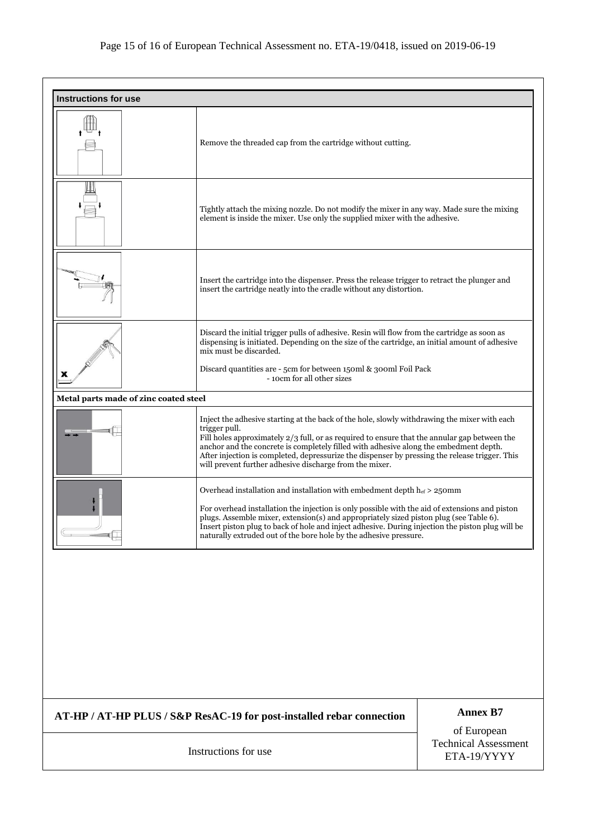| <b>Instructions for use</b>           |                                                                                                                                                                                                                                                                                                                                                                                                                                                    |                                                           |
|---------------------------------------|----------------------------------------------------------------------------------------------------------------------------------------------------------------------------------------------------------------------------------------------------------------------------------------------------------------------------------------------------------------------------------------------------------------------------------------------------|-----------------------------------------------------------|
|                                       | Remove the threaded cap from the cartridge without cutting.                                                                                                                                                                                                                                                                                                                                                                                        |                                                           |
|                                       | Tightly attach the mixing nozzle. Do not modify the mixer in any way. Made sure the mixing<br>element is inside the mixer. Use only the supplied mixer with the adhesive.                                                                                                                                                                                                                                                                          |                                                           |
|                                       | Insert the cartridge into the dispenser. Press the release trigger to retract the plunger and<br>insert the cartridge neatly into the cradle without any distortion.                                                                                                                                                                                                                                                                               |                                                           |
| x                                     | Discard the initial trigger pulls of adhesive. Resin will flow from the cartridge as soon as<br>dispensing is initiated. Depending on the size of the cartridge, an initial amount of adhesive<br>mix must be discarded.<br>Discard quantities are - 5cm for between 150ml & 300ml Foil Pack<br>- 10cm for all other sizes                                                                                                                         |                                                           |
| Metal parts made of zinc coated steel |                                                                                                                                                                                                                                                                                                                                                                                                                                                    |                                                           |
|                                       | Inject the adhesive starting at the back of the hole, slowly withdrawing the mixer with each<br>Fill holes approximately $2/3$ full, or as required to ensure that the annular gap between the<br>anchor and the concrete is completely filled with adhesive along the embedment depth.<br>After injection is completed, depressurize the dispenser by pressing the release trigger. This                                                          |                                                           |
|                                       | Overhead installation and installation with embedment depth $h_{ef} > 250$ mm<br>For overhead installation the injection is only possible with the aid of extensions and piston<br>plugs. Assemble mixer, extension(s) and appropriately sized piston plug (see Table 6).<br>Insert piston plug to back of hole and inject adhesive. During injection the piston plug will be<br>naturally extruded out of the bore hole by the adhesive pressure. |                                                           |
|                                       |                                                                                                                                                                                                                                                                                                                                                                                                                                                    |                                                           |
|                                       | AT-HP / AT-HP PLUS / S&P ResAC-19 for post-installed rebar connection                                                                                                                                                                                                                                                                                                                                                                              | <b>Annex B7</b>                                           |
|                                       | Instructions for use                                                                                                                                                                                                                                                                                                                                                                                                                               | of European<br><b>Technical Assessment</b><br>ETA-19/YYYY |